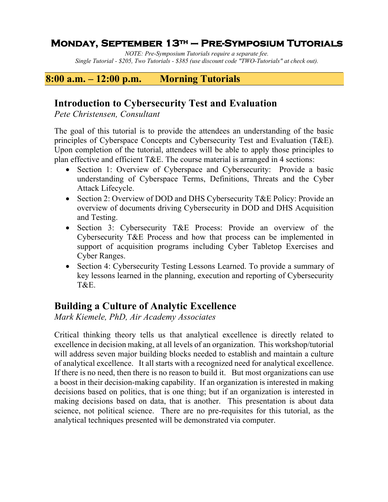### **Monday, September 13th – Pre-Symposium Tutorials**

*NOTE: Pre-Symposium Tutorials require a separate fee. Single Tutorial - \$205, Two Tutorials - \$385 (use discount code "TWO-Tutorials" at check out).*

### **8:00 a.m. – 12:00 p.m. Morning Tutorials**

### **Introduction to Cybersecurity Test and Evaluation**

*Pete Christensen, Consultant*

The goal of this tutorial is to provide the attendees an understanding of the basic principles of Cyberspace Concepts and Cybersecurity Test and Evaluation (T&E). Upon completion of the tutorial, attendees will be able to apply those principles to plan effective and efficient T&E. The course material is arranged in 4 sections:

- Section 1: Overview of Cyberspace and Cybersecurity: Provide a basic understanding of Cyberspace Terms, Definitions, Threats and the Cyber Attack Lifecycle.
- Section 2: Overview of DOD and DHS Cybersecurity T&E Policy: Provide an overview of documents driving Cybersecurity in DOD and DHS Acquisition and Testing.
- Section 3: Cybersecurity T&E Process: Provide an overview of the Cybersecurity T&E Process and how that process can be implemented in support of acquisition programs including Cyber Tabletop Exercises and Cyber Ranges.
- Section 4: Cybersecurity Testing Lessons Learned. To provide a summary of key lessons learned in the planning, execution and reporting of Cybersecurity T&E.

## **Building a Culture of Analytic Excellence**

*Mark Kiemele, PhD, Air Academy Associates*

Critical thinking theory tells us that analytical excellence is directly related to excellence in decision making, at all levels of an organization. This workshop/tutorial will address seven major building blocks needed to establish and maintain a culture of analytical excellence. It all starts with a recognized need for analytical excellence. If there is no need, then there is no reason to build it. But most organizations can use a boost in their decision-making capability. If an organization is interested in making decisions based on politics, that is one thing; but if an organization is interested in making decisions based on data, that is another. This presentation is about data science, not political science. There are no pre-requisites for this tutorial, as the analytical techniques presented will be demonstrated via computer.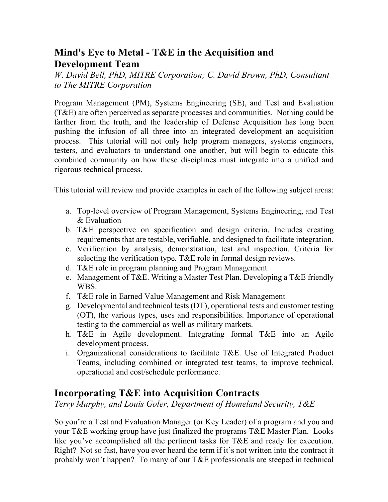## **Mind's Eye to Metal - T&E in the Acquisition and Development Team**

*W. David Bell, PhD, MITRE Corporation; C. David Brown, PhD, Consultant to The MITRE Corporation*

Program Management (PM), Systems Engineering (SE), and Test and Evaluation (T&E) are often perceived as separate processes and communities. Nothing could be farther from the truth, and the leadership of Defense Acquisition has long been pushing the infusion of all three into an integrated development an acquisition process. This tutorial will not only help program managers, systems engineers, testers, and evaluators to understand one another, but will begin to educate this combined community on how these disciplines must integrate into a unified and rigorous technical process.

This tutorial will review and provide examples in each of the following subject areas:

- a. Top-level overview of Program Management, Systems Engineering, and Test & Evaluation
- b. T&E perspective on specification and design criteria. Includes creating requirements that are testable, verifiable, and designed to facilitate integration.
- c. Verification by analysis, demonstration, test and inspection. Criteria for selecting the verification type. T&E role in formal design reviews.
- d. T&E role in program planning and Program Management
- e. Management of T&E. Writing a Master Test Plan. Developing a T&E friendly WBS.
- f. T&E role in Earned Value Management and Risk Management
- g. Developmental and technical tests (DT), operational tests and customer testing (OT), the various types, uses and responsibilities. Importance of operational testing to the commercial as well as military markets.
- h. T&E in Agile development. Integrating formal T&E into an Agile development process.
- i. Organizational considerations to facilitate T&E. Use of Integrated Product Teams, including combined or integrated test teams, to improve technical, operational and cost/schedule performance.

### **Incorporating T&E into Acquisition Contracts**

*Terry Murphy, and Louis Goler, Department of Homeland Security, T&E*

So you're a Test and Evaluation Manager (or Key Leader) of a program and you and your T&E working group have just finalized the programs T&E Master Plan. Looks like you've accomplished all the pertinent tasks for T&E and ready for execution. Right? Not so fast, have you ever heard the term if it's not written into the contract it probably won't happen? To many of our T&E professionals are steeped in technical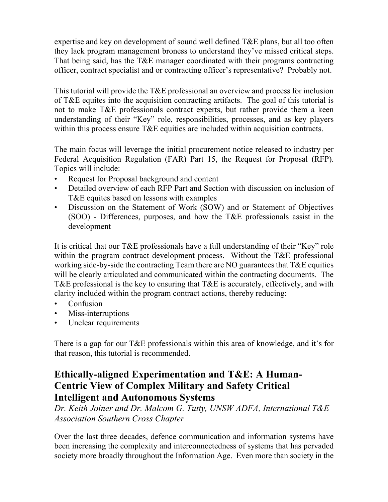expertise and key on development of sound well defined T&E plans, but all too often they lack program management broness to understand they've missed critical steps. That being said, has the T&E manager coordinated with their programs contracting officer, contract specialist and or contracting officer's representative? Probably not.

This tutorial will provide the T&E professional an overview and process for inclusion of T&E equites into the acquisition contracting artifacts. The goal of this tutorial is not to make T&E professionals contract experts, but rather provide them a keen understanding of their "Key" role, responsibilities, processes, and as key players within this process ensure T&E equities are included within acquisition contracts.

The main focus will leverage the initial procurement notice released to industry per Federal Acquisition Regulation (FAR) Part 15, the Request for Proposal (RFP). Topics will include:

- Request for Proposal background and content
- Detailed overview of each RFP Part and Section with discussion on inclusion of T&E equites based on lessons with examples
- Discussion on the Statement of Work (SOW) and or Statement of Objectives (SOO) - Differences, purposes, and how the T&E professionals assist in the development

It is critical that our T&E professionals have a full understanding of their "Key" role within the program contract development process. Without the T&E professional working side-by-side the contracting Team there are NO guarantees that T&E equities will be clearly articulated and communicated within the contracting documents. The T&E professional is the key to ensuring that T&E is accurately, effectively, and with clarity included within the program contract actions, thereby reducing:

- Confusion
- Miss-interruptions
- Unclear requirements

There is a gap for our T&E professionals within this area of knowledge, and it's for that reason, this tutorial is recommended.

## **Ethically-aligned Experimentation and T&E: A Human-Centric View of Complex Military and Safety Critical Intelligent and Autonomous Systems**

*Dr. Keith Joiner and Dr. Malcom G. Tutty, UNSW ADFA, International T&E Association Southern Cross Chapter*

Over the last three decades, defence communication and information systems have been increasing the complexity and interconnectedness of systems that has pervaded society more broadly throughout the Information Age. Even more than society in the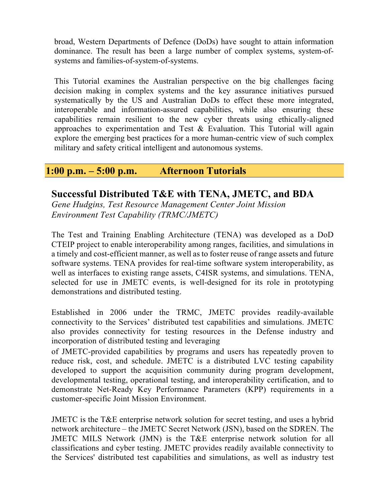broad, Western Departments of Defence (DoDs) have sought to attain information dominance. The result has been a large number of complex systems, system-ofsystems and families-of-system-of-systems.

This Tutorial examines the Australian perspective on the big challenges facing decision making in complex systems and the key assurance initiatives pursued systematically by the US and Australian DoDs to effect these more integrated, interoperable and information-assured capabilities, while also ensuring these capabilities remain resilient to the new cyber threats using ethically-aligned approaches to experimentation and Test & Evaluation. This Tutorial will again explore the emerging best practices for a more human-centric view of such complex military and safety critical intelligent and autonomous systems.

#### **1:00 p.m. – 5:00 p.m. Afternoon Tutorials**

### **Successful Distributed T&E with TENA, JMETC, and BDA**

*Gene Hudgins, Test Resource Management Center Joint Mission Environment Test Capability (TRMC/JMETC)*

The Test and Training Enabling Architecture (TENA) was developed as a DoD CTEIP project to enable interoperability among ranges, facilities, and simulations in a timely and cost-efficient manner, as well as to foster reuse of range assets and future software systems. TENA provides for real-time software system interoperability, as well as interfaces to existing range assets, C4ISR systems, and simulations. TENA, selected for use in JMETC events, is well-designed for its role in prototyping demonstrations and distributed testing.

Established in 2006 under the TRMC, JMETC provides readily-available connectivity to the Services' distributed test capabilities and simulations. JMETC also provides connectivity for testing resources in the Defense industry and incorporation of distributed testing and leveraging

of JMETC-provided capabilities by programs and users has repeatedly proven to reduce risk, cost, and schedule. JMETC is a distributed LVC testing capability developed to support the acquisition community during program development, developmental testing, operational testing, and interoperability certification, and to demonstrate Net-Ready Key Performance Parameters (KPP) requirements in a customer-specific Joint Mission Environment.

JMETC is the T&E enterprise network solution for secret testing, and uses a hybrid network architecture – the JMETC Secret Network (JSN), based on the SDREN. The JMETC MILS Network (JMN) is the T&E enterprise network solution for all classifications and cyber testing. JMETC provides readily available connectivity to the Services' distributed test capabilities and simulations, as well as industry test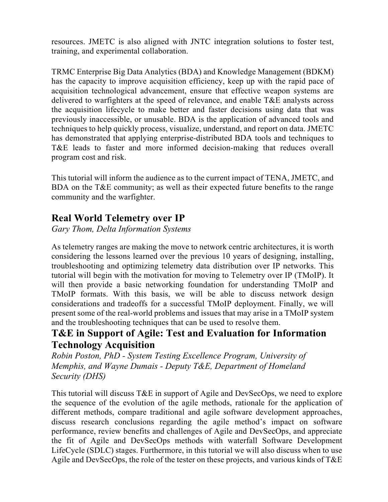resources. JMETC is also aligned with JNTC integration solutions to foster test, training, and experimental collaboration.

TRMC Enterprise Big Data Analytics (BDA) and Knowledge Management (BDKM) has the capacity to improve acquisition efficiency, keep up with the rapid pace of acquisition technological advancement, ensure that effective weapon systems are delivered to warfighters at the speed of relevance, and enable T&E analysts across the acquisition lifecycle to make better and faster decisions using data that was previously inaccessible, or unusable. BDA is the application of advanced tools and techniques to help quickly process, visualize, understand, and report on data. JMETC has demonstrated that applying enterprise-distributed BDA tools and techniques to T&E leads to faster and more informed decision-making that reduces overall program cost and risk.

This tutorial will inform the audience as to the current impact of TENA, JMETC, and BDA on the T&E community; as well as their expected future benefits to the range community and the warfighter.

## **Real World Telemetry over IP**

*Gary Thom, Delta Information Systems*

As telemetry ranges are making the move to network centric architectures, it is worth considering the lessons learned over the previous 10 years of designing, installing, troubleshooting and optimizing telemetry data distribution over IP networks. This tutorial will begin with the motivation for moving to Telemetry over IP (TMoIP). It will then provide a basic networking foundation for understanding TMoIP and TMoIP formats. With this basis, we will be able to discuss network design considerations and tradeoffs for a successful TMoIP deployment. Finally, we will present some of the real-world problems and issues that may arise in a TMoIP system and the troubleshooting techniques that can be used to resolve them.

## **T&E in Support of Agile: Test and Evaluation for Information Technology Acquisition**

*Robin Poston, PhD - System Testing Excellence Program, University of Memphis, and Wayne Dumais - Deputy T&E, Department of Homeland Security (DHS)*

This tutorial will discuss T&E in support of Agile and DevSecOps, we need to explore the sequence of the evolution of the agile methods, rationale for the application of different methods, compare traditional and agile software development approaches, discuss research conclusions regarding the agile method's impact on software performance, review benefits and challenges of Agile and DevSecOps, and appreciate the fit of Agile and DevSecOps methods with waterfall Software Development LifeCycle (SDLC) stages. Furthermore, in this tutorial we will also discuss when to use Agile and DevSecOps, the role of the tester on these projects, and various kinds of T&E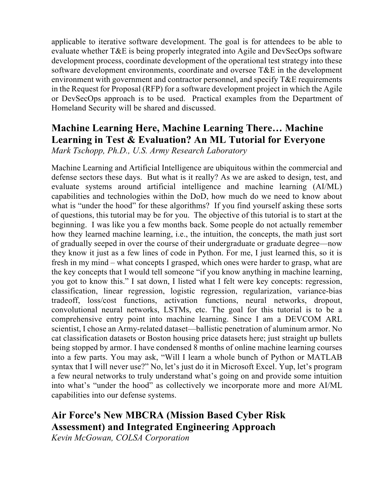applicable to iterative software development. The goal is for attendees to be able to evaluate whether T&E is being properly integrated into Agile and DevSecOps software development process, coordinate development of the operational test strategy into these software development environments, coordinate and oversee T&E in the development environment with government and contractor personnel, and specify T&E requirements in the Request for Proposal (RFP) for a software development project in which the Agile or DevSecOps approach is to be used. Practical examples from the Department of Homeland Security will be shared and discussed.

# **Machine Learning Here, Machine Learning There… Machine Learning in Test & Evaluation? An ML Tutorial for Everyone**

*Mark Tschopp, Ph.D., U.S. Army Research Laboratory*

Machine Learning and Artificial Intelligence are ubiquitous within the commercial and defense sectors these days. But what is it really? As we are asked to design, test, and evaluate systems around artificial intelligence and machine learning (AI/ML) capabilities and technologies within the DoD, how much do we need to know about what is "under the hood" for these algorithms? If you find yourself asking these sorts of questions, this tutorial may be for you. The objective of this tutorial is to start at the beginning. I was like you a few months back. Some people do not actually remember how they learned machine learning, i.e., the intuition, the concepts, the math just sort of gradually seeped in over the course of their undergraduate or graduate degree—now they know it just as a few lines of code in Python. For me, I just learned this, so it is fresh in my mind – what concepts I grasped, which ones were harder to grasp, what are the key concepts that I would tell someone "if you know anything in machine learning, you got to know this." I sat down, I listed what I felt were key concepts: regression, classification, linear regression, logistic regression, regularization, variance-bias tradeoff, loss/cost functions, activation functions, neural networks, dropout, convolutional neural networks, LSTMs, etc. The goal for this tutorial is to be a comprehensive entry point into machine learning. Since I am a DEVCOM ARL scientist, I chose an Army-related dataset—ballistic penetration of aluminum armor. No cat classification datasets or Boston housing price datasets here; just straight up bullets being stopped by armor. I have condensed 8 months of online machine learning courses into a few parts. You may ask, "Will I learn a whole bunch of Python or MATLAB syntax that I will never use?" No, let's just do it in Microsoft Excel. Yup, let's program a few neural networks to truly understand what's going on and provide some intuition into what's "under the hood" as collectively we incorporate more and more AI/ML capabilities into our defense systems.

## **Air Force's New MBCRA (Mission Based Cyber Risk Assessment) and Integrated Engineering Approach**

*Kevin McGowan, COLSA Corporation*